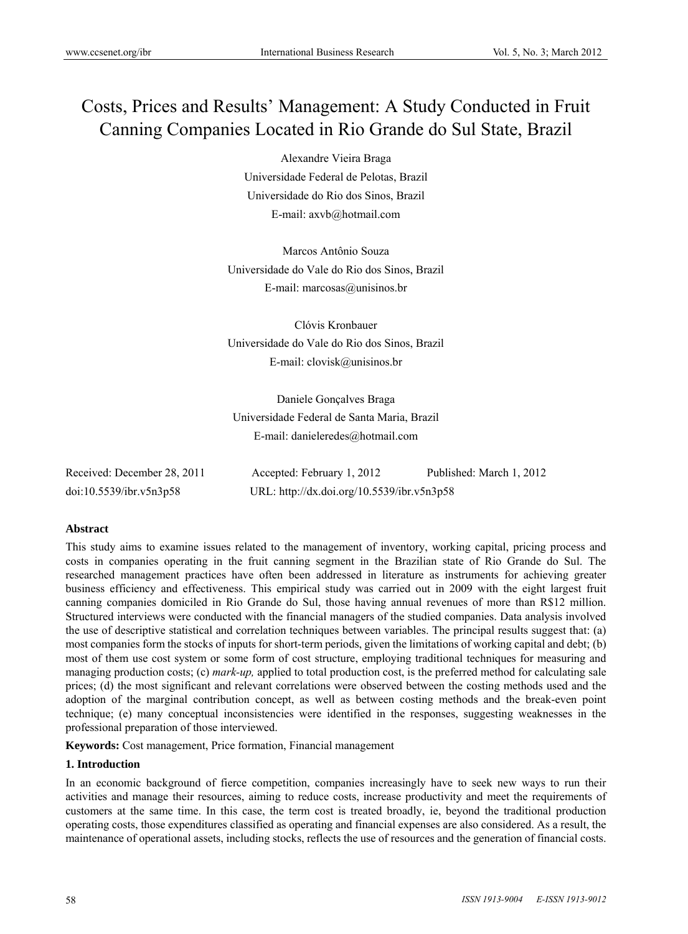# Costs, Prices and Results' Management: A Study Conducted in Fruit Canning Companies Located in Rio Grande do Sul State, Brazil

Alexandre Vieira Braga Universidade Federal de Pelotas, Brazil Universidade do Rio dos Sinos, Brazil E-mail: axvb@hotmail.com

Marcos Antônio Souza Universidade do Vale do Rio dos Sinos, Brazil E-mail: marcosas@unisinos.br

Clóvis Kronbauer Universidade do Vale do Rio dos Sinos, Brazil E-mail: clovisk@unisinos.br

Daniele Gonçalves Braga Universidade Federal de Santa Maria, Brazil E-mail: danieleredes@hotmail.com

| Received: December 28, 2011 | Accepted: February 1, 2012                 | Published: March 1, 2012 |
|-----------------------------|--------------------------------------------|--------------------------|
| doi:10.5539/ibr.v5n3p58     | URL: http://dx.doi.org/10.5539/ibr.v5n3p58 |                          |

## **Abstract**

This study aims to examine issues related to the management of inventory, working capital, pricing process and costs in companies operating in the fruit canning segment in the Brazilian state of Rio Grande do Sul. The researched management practices have often been addressed in literature as instruments for achieving greater business efficiency and effectiveness. This empirical study was carried out in 2009 with the eight largest fruit canning companies domiciled in Rio Grande do Sul, those having annual revenues of more than R\$12 million. Structured interviews were conducted with the financial managers of the studied companies. Data analysis involved the use of descriptive statistical and correlation techniques between variables. The principal results suggest that: (a) most companies form the stocks of inputs for short-term periods, given the limitations of working capital and debt; (b) most of them use cost system or some form of cost structure, employing traditional techniques for measuring and managing production costs; (c) *mark-up,* applied to total production cost, is the preferred method for calculating sale prices; (d) the most significant and relevant correlations were observed between the costing methods used and the adoption of the marginal contribution concept, as well as between costing methods and the break-even point technique; (e) many conceptual inconsistencies were identified in the responses, suggesting weaknesses in the professional preparation of those interviewed.

**Keywords:** Cost management, Price formation, Financial management

## **1. Introduction**

In an economic background of fierce competition, companies increasingly have to seek new ways to run their activities and manage their resources, aiming to reduce costs, increase productivity and meet the requirements of customers at the same time. In this case, the term cost is treated broadly, ie, beyond the traditional production operating costs, those expenditures classified as operating and financial expenses are also considered. As a result, the maintenance of operational assets, including stocks, reflects the use of resources and the generation of financial costs.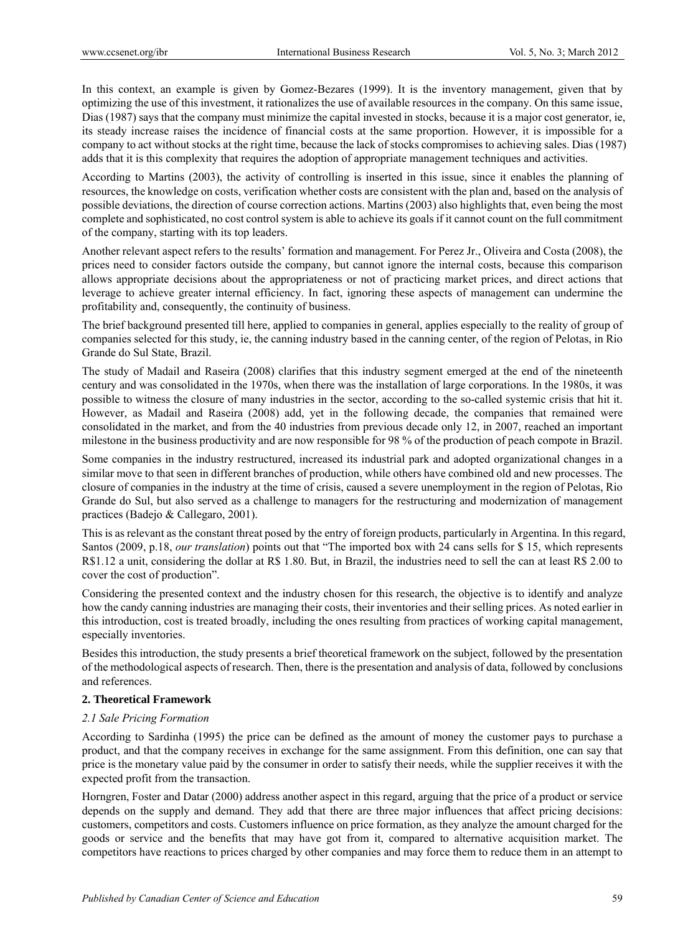In this context, an example is given by Gomez-Bezares (1999). It is the inventory management, given that by optimizing the use of this investment, it rationalizes the use of available resources in the company. On this same issue, Dias (1987) says that the company must minimize the capital invested in stocks, because it is a major cost generator, ie, its steady increase raises the incidence of financial costs at the same proportion. However, it is impossible for a company to act without stocks at the right time, because the lack of stocks compromises to achieving sales. Dias (1987) adds that it is this complexity that requires the adoption of appropriate management techniques and activities.

According to Martins (2003), the activity of controlling is inserted in this issue, since it enables the planning of resources, the knowledge on costs, verification whether costs are consistent with the plan and, based on the analysis of possible deviations, the direction of course correction actions. Martins (2003) also highlights that, even being the most complete and sophisticated, no cost control system is able to achieve its goals if it cannot count on the full commitment of the company, starting with its top leaders.

Another relevant aspect refers to the results' formation and management. For Perez Jr., Oliveira and Costa (2008), the prices need to consider factors outside the company, but cannot ignore the internal costs, because this comparison allows appropriate decisions about the appropriateness or not of practicing market prices, and direct actions that leverage to achieve greater internal efficiency. In fact, ignoring these aspects of management can undermine the profitability and, consequently, the continuity of business.

The brief background presented till here, applied to companies in general, applies especially to the reality of group of companies selected for this study, ie, the canning industry based in the canning center, of the region of Pelotas, in Rio Grande do Sul State, Brazil.

The study of Madail and Raseira (2008) clarifies that this industry segment emerged at the end of the nineteenth century and was consolidated in the 1970s, when there was the installation of large corporations. In the 1980s, it was possible to witness the closure of many industries in the sector, according to the so-called systemic crisis that hit it. However, as Madail and Raseira (2008) add, yet in the following decade, the companies that remained were consolidated in the market, and from the 40 industries from previous decade only 12, in 2007, reached an important milestone in the business productivity and are now responsible for 98 % of the production of peach compote in Brazil.

Some companies in the industry restructured, increased its industrial park and adopted organizational changes in a similar move to that seen in different branches of production, while others have combined old and new processes. The closure of companies in the industry at the time of crisis, caused a severe unemployment in the region of Pelotas, Rio Grande do Sul, but also served as a challenge to managers for the restructuring and modernization of management practices (Badejo & Callegaro, 2001).

This is as relevant as the constant threat posed by the entry of foreign products, particularly in Argentina. In this regard, Santos (2009, p.18, *our translation*) points out that "The imported box with 24 cans sells for \$ 15, which represents R\$1.12 a unit, considering the dollar at R\$ 1.80. But, in Brazil, the industries need to sell the can at least R\$ 2.00 to cover the cost of production".

Considering the presented context and the industry chosen for this research, the objective is to identify and analyze how the candy canning industries are managing their costs, their inventories and their selling prices. As noted earlier in this introduction, cost is treated broadly, including the ones resulting from practices of working capital management, especially inventories.

Besides this introduction, the study presents a brief theoretical framework on the subject, followed by the presentation of the methodological aspects of research. Then, there is the presentation and analysis of data, followed by conclusions and references.

## **2. Theoretical Framework**

## *2.1 Sale Pricing Formation*

According to Sardinha (1995) the price can be defined as the amount of money the customer pays to purchase a product, and that the company receives in exchange for the same assignment. From this definition, one can say that price is the monetary value paid by the consumer in order to satisfy their needs, while the supplier receives it with the expected profit from the transaction.

Horngren, Foster and Datar (2000) address another aspect in this regard, arguing that the price of a product or service depends on the supply and demand. They add that there are three major influences that affect pricing decisions: customers, competitors and costs. Customers influence on price formation, as they analyze the amount charged for the goods or service and the benefits that may have got from it, compared to alternative acquisition market. The competitors have reactions to prices charged by other companies and may force them to reduce them in an attempt to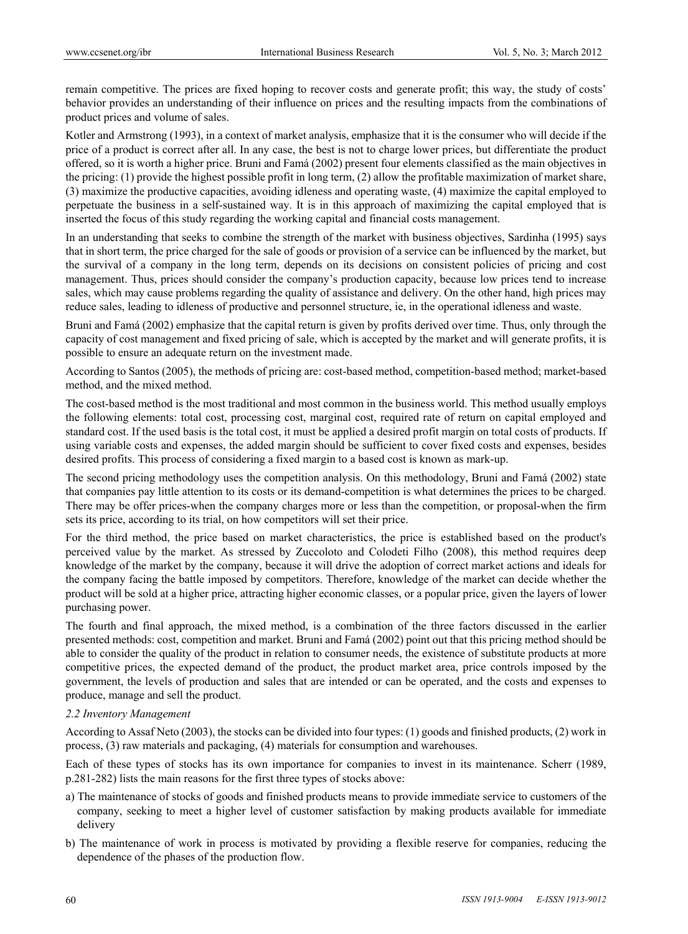remain competitive. The prices are fixed hoping to recover costs and generate profit; this way, the study of costs' behavior provides an understanding of their influence on prices and the resulting impacts from the combinations of product prices and volume of sales.

Kotler and Armstrong (1993), in a context of market analysis, emphasize that it is the consumer who will decide if the price of a product is correct after all. In any case, the best is not to charge lower prices, but differentiate the product offered, so it is worth a higher price. Bruni and Famá (2002) present four elements classified as the main objectives in the pricing: (1) provide the highest possible profit in long term, (2) allow the profitable maximization of market share, (3) maximize the productive capacities, avoiding idleness and operating waste, (4) maximize the capital employed to perpetuate the business in a self-sustained way. It is in this approach of maximizing the capital employed that is inserted the focus of this study regarding the working capital and financial costs management.

In an understanding that seeks to combine the strength of the market with business objectives, Sardinha (1995) says that in short term, the price charged for the sale of goods or provision of a service can be influenced by the market, but the survival of a company in the long term, depends on its decisions on consistent policies of pricing and cost management. Thus, prices should consider the company's production capacity, because low prices tend to increase sales, which may cause problems regarding the quality of assistance and delivery. On the other hand, high prices may reduce sales, leading to idleness of productive and personnel structure, ie, in the operational idleness and waste.

Bruni and Famá (2002) emphasize that the capital return is given by profits derived over time. Thus, only through the capacity of cost management and fixed pricing of sale, which is accepted by the market and will generate profits, it is possible to ensure an adequate return on the investment made.

According to Santos (2005), the methods of pricing are: cost-based method, competition-based method; market-based method, and the mixed method.

The cost-based method is the most traditional and most common in the business world. This method usually employs the following elements: total cost, processing cost, marginal cost, required rate of return on capital employed and standard cost. If the used basis is the total cost, it must be applied a desired profit margin on total costs of products. If using variable costs and expenses, the added margin should be sufficient to cover fixed costs and expenses, besides desired profits. This process of considering a fixed margin to a based cost is known as mark-up.

The second pricing methodology uses the competition analysis. On this methodology, Bruni and Famá (2002) state that companies pay little attention to its costs or its demand-competition is what determines the prices to be charged. There may be offer prices-when the company charges more or less than the competition, or proposal-when the firm sets its price, according to its trial, on how competitors will set their price.

For the third method, the price based on market characteristics, the price is established based on the product's perceived value by the market. As stressed by Zuccoloto and Colodeti Filho (2008), this method requires deep knowledge of the market by the company, because it will drive the adoption of correct market actions and ideals for the company facing the battle imposed by competitors. Therefore, knowledge of the market can decide whether the product will be sold at a higher price, attracting higher economic classes, or a popular price, given the layers of lower purchasing power.

The fourth and final approach, the mixed method, is a combination of the three factors discussed in the earlier presented methods: cost, competition and market. Bruni and Famá (2002) point out that this pricing method should be able to consider the quality of the product in relation to consumer needs, the existence of substitute products at more competitive prices, the expected demand of the product, the product market area, price controls imposed by the government, the levels of production and sales that are intended or can be operated, and the costs and expenses to produce, manage and sell the product.

## *2.2 Inventory Management*

According to Assaf Neto (2003), the stocks can be divided into four types: (1) goods and finished products, (2) work in process, (3) raw materials and packaging, (4) materials for consumption and warehouses.

Each of these types of stocks has its own importance for companies to invest in its maintenance. Scherr (1989, p.281-282) lists the main reasons for the first three types of stocks above:

- a) The maintenance of stocks of goods and finished products means to provide immediate service to customers of the company, seeking to meet a higher level of customer satisfaction by making products available for immediate delivery
- b) The maintenance of work in process is motivated by providing a flexible reserve for companies, reducing the dependence of the phases of the production flow.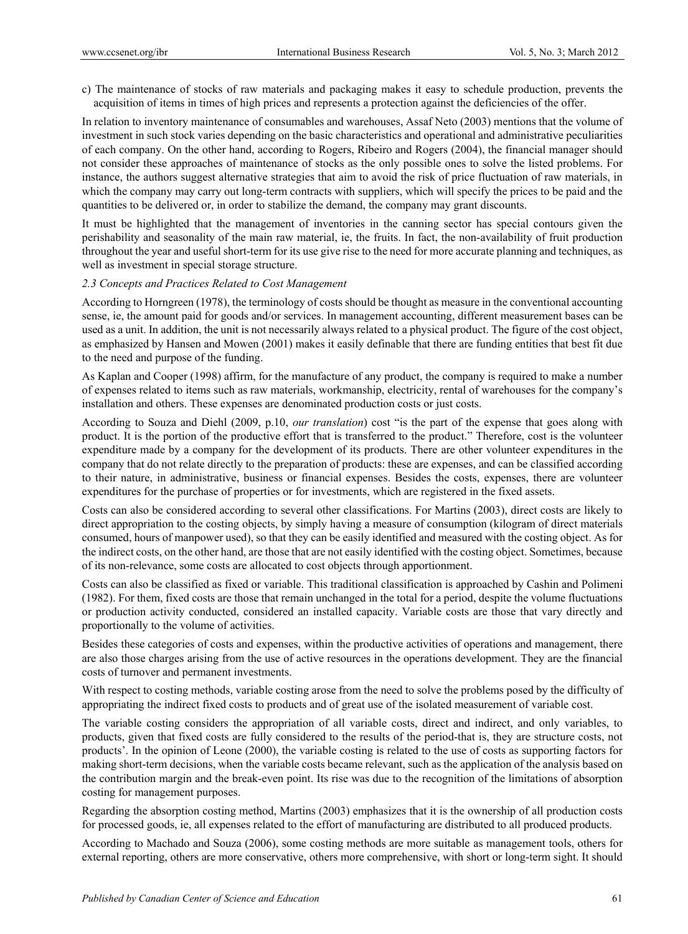c) The maintenance of stocks of raw materials and packaging makes it easy to schedule production, prevents the acquisition of items in times of high prices and represents a protection against the deficiencies of the offer.

In relation to inventory maintenance of consumables and warehouses, Assaf Neto (2003) mentions that the volume of investment in such stock varies depending on the basic characteristics and operational and administrative peculiarities of each company. On the other hand, according to Rogers, Ribeiro and Rogers (2004), the financial manager should not consider these approaches of maintenance of stocks as the only possible ones to solve the listed problems. For instance, the authors suggest alternative strategies that aim to avoid the risk of price fluctuation of raw materials, in which the company may carry out long-term contracts with suppliers, which will specify the prices to be paid and the quantities to be delivered or, in order to stabilize the demand, the company may grant discounts.

It must be highlighted that the management of inventories in the canning sector has special contours given the perishability and seasonality of the main raw material, ie, the fruits. In fact, the non-availability of fruit production throughout the year and useful short-term for its use give rise to the need for more accurate planning and techniques, as well as investment in special storage structure.

## *2.3 Concepts and Practices Related to Cost Management*

According to Horngreen (1978), the terminology of costs should be thought as measure in the conventional accounting sense, ie, the amount paid for goods and/or services. In management accounting, different measurement bases can be used as a unit. In addition, the unit is not necessarily always related to a physical product. The figure of the cost object, as emphasized by Hansen and Mowen (2001) makes it easily definable that there are funding entities that best fit due to the need and purpose of the funding.

As Kaplan and Cooper (1998) affirm, for the manufacture of any product, the company is required to make a number of expenses related to items such as raw materials, workmanship, electricity, rental of warehouses for the company's installation and others. These expenses are denominated production costs or just costs.

According to Souza and Diehl (2009, p.10, *our translation*) cost "is the part of the expense that goes along with product. It is the portion of the productive effort that is transferred to the product." Therefore, cost is the volunteer expenditure made by a company for the development of its products. There are other volunteer expenditures in the company that do not relate directly to the preparation of products: these are expenses, and can be classified according to their nature, in administrative, business or financial expenses. Besides the costs, expenses, there are volunteer expenditures for the purchase of properties or for investments, which are registered in the fixed assets.

Costs can also be considered according to several other classifications. For Martins (2003), direct costs are likely to direct appropriation to the costing objects, by simply having a measure of consumption (kilogram of direct materials consumed, hours of manpower used), so that they can be easily identified and measured with the costing object. As for the indirect costs, on the other hand, are those that are not easily identified with the costing object. Sometimes, because of its non-relevance, some costs are allocated to cost objects through apportionment.

Costs can also be classified as fixed or variable. This traditional classification is approached by Cashin and Polimeni (1982). For them, fixed costs are those that remain unchanged in the total for a period, despite the volume fluctuations or production activity conducted, considered an installed capacity. Variable costs are those that vary directly and proportionally to the volume of activities.

Besides these categories of costs and expenses, within the productive activities of operations and management, there are also those charges arising from the use of active resources in the operations development. They are the financial costs of turnover and permanent investments.

With respect to costing methods, variable costing arose from the need to solve the problems posed by the difficulty of appropriating the indirect fixed costs to products and of great use of the isolated measurement of variable cost.

The variable costing considers the appropriation of all variable costs, direct and indirect, and only variables, to products, given that fixed costs are fully considered to the results of the period-that is, they are structure costs, not products'. In the opinion of Leone (2000), the variable costing is related to the use of costs as supporting factors for making short-term decisions, when the variable costs became relevant, such as the application of the analysis based on the contribution margin and the break-even point. Its rise was due to the recognition of the limitations of absorption costing for management purposes.

Regarding the absorption costing method, Martins (2003) emphasizes that it is the ownership of all production costs for processed goods, ie, all expenses related to the effort of manufacturing are distributed to all produced products.

According to Machado and Souza (2006), some costing methods are more suitable as management tools, others for external reporting, others are more conservative, others more comprehensive, with short or long-term sight. It should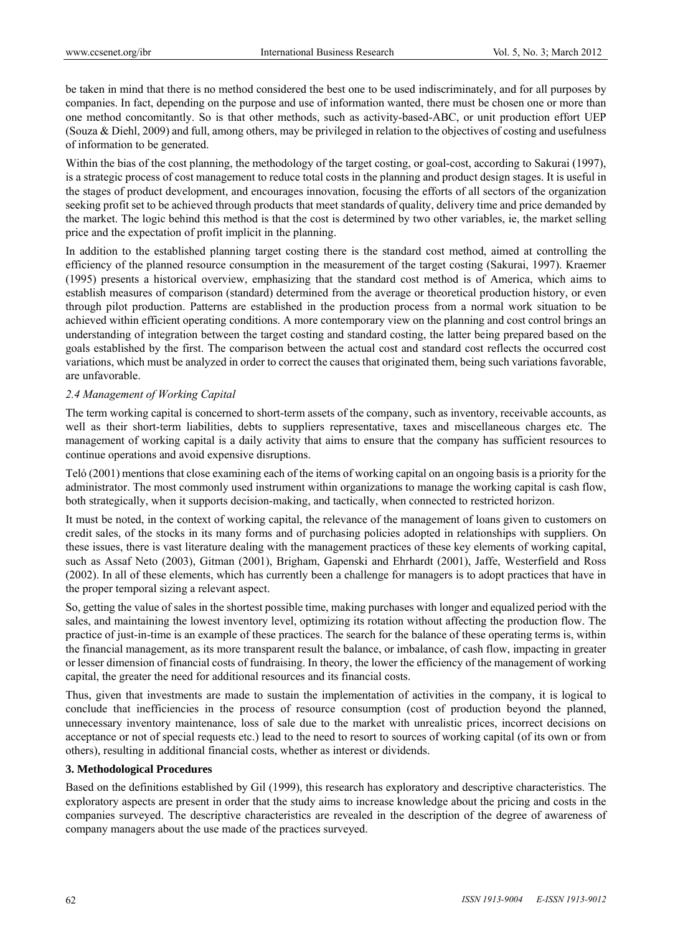be taken in mind that there is no method considered the best one to be used indiscriminately, and for all purposes by companies. In fact, depending on the purpose and use of information wanted, there must be chosen one or more than one method concomitantly. So is that other methods, such as activity-based-ABC, or unit production effort UEP (Souza & Diehl, 2009) and full, among others, may be privileged in relation to the objectives of costing and usefulness of information to be generated.

Within the bias of the cost planning, the methodology of the target costing, or goal-cost, according to Sakurai (1997), is a strategic process of cost management to reduce total costs in the planning and product design stages. It is useful in the stages of product development, and encourages innovation, focusing the efforts of all sectors of the organization seeking profit set to be achieved through products that meet standards of quality, delivery time and price demanded by the market. The logic behind this method is that the cost is determined by two other variables, ie, the market selling price and the expectation of profit implicit in the planning.

In addition to the established planning target costing there is the standard cost method, aimed at controlling the efficiency of the planned resource consumption in the measurement of the target costing (Sakurai, 1997). Kraemer (1995) presents a historical overview, emphasizing that the standard cost method is of America, which aims to establish measures of comparison (standard) determined from the average or theoretical production history, or even through pilot production. Patterns are established in the production process from a normal work situation to be achieved within efficient operating conditions. A more contemporary view on the planning and cost control brings an understanding of integration between the target costing and standard costing, the latter being prepared based on the goals established by the first. The comparison between the actual cost and standard cost reflects the occurred cost variations, which must be analyzed in order to correct the causes that originated them, being such variations favorable, are unfavorable.

## *2.4 Management of Working Capital*

The term working capital is concerned to short-term assets of the company, such as inventory, receivable accounts, as well as their short-term liabilities, debts to suppliers representative, taxes and miscellaneous charges etc. The management of working capital is a daily activity that aims to ensure that the company has sufficient resources to continue operations and avoid expensive disruptions.

Teló (2001) mentions that close examining each of the items of working capital on an ongoing basis is a priority for the administrator. The most commonly used instrument within organizations to manage the working capital is cash flow, both strategically, when it supports decision-making, and tactically, when connected to restricted horizon.

It must be noted, in the context of working capital, the relevance of the management of loans given to customers on credit sales, of the stocks in its many forms and of purchasing policies adopted in relationships with suppliers. On these issues, there is vast literature dealing with the management practices of these key elements of working capital, such as Assaf Neto (2003), Gitman (2001), Brigham, Gapenski and Ehrhardt (2001), Jaffe, Westerfield and Ross (2002). In all of these elements, which has currently been a challenge for managers is to adopt practices that have in the proper temporal sizing a relevant aspect.

So, getting the value of sales in the shortest possible time, making purchases with longer and equalized period with the sales, and maintaining the lowest inventory level, optimizing its rotation without affecting the production flow. The practice of just-in-time is an example of these practices. The search for the balance of these operating terms is, within the financial management, as its more transparent result the balance, or imbalance, of cash flow, impacting in greater or lesser dimension of financial costs of fundraising. In theory, the lower the efficiency of the management of working capital, the greater the need for additional resources and its financial costs.

Thus, given that investments are made to sustain the implementation of activities in the company, it is logical to conclude that inefficiencies in the process of resource consumption (cost of production beyond the planned, unnecessary inventory maintenance, loss of sale due to the market with unrealistic prices, incorrect decisions on acceptance or not of special requests etc.) lead to the need to resort to sources of working capital (of its own or from others), resulting in additional financial costs, whether as interest or dividends.

## **3. Methodological Procedures**

Based on the definitions established by Gil (1999), this research has exploratory and descriptive characteristics. The exploratory aspects are present in order that the study aims to increase knowledge about the pricing and costs in the companies surveyed. The descriptive characteristics are revealed in the description of the degree of awareness of company managers about the use made of the practices surveyed.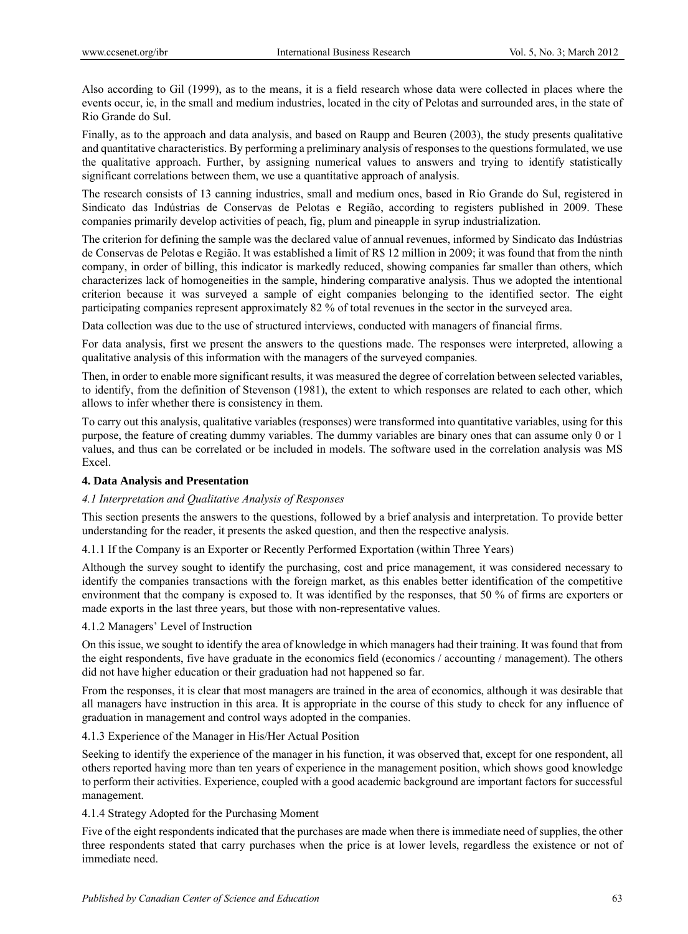Also according to Gil (1999), as to the means, it is a field research whose data were collected in places where the events occur, ie, in the small and medium industries, located in the city of Pelotas and surrounded ares, in the state of Rio Grande do Sul.

Finally, as to the approach and data analysis, and based on Raupp and Beuren (2003), the study presents qualitative and quantitative characteristics. By performing a preliminary analysis of responses to the questions formulated, we use the qualitative approach. Further, by assigning numerical values to answers and trying to identify statistically significant correlations between them, we use a quantitative approach of analysis.

The research consists of 13 canning industries, small and medium ones, based in Rio Grande do Sul, registered in Sindicato das Indústrias de Conservas de Pelotas e Região, according to registers published in 2009. These companies primarily develop activities of peach, fig, plum and pineapple in syrup industrialization.

The criterion for defining the sample was the declared value of annual revenues, informed by Sindicato das Indústrias de Conservas de Pelotas e Região. It was established a limit of R\$ 12 million in 2009; it was found that from the ninth company, in order of billing, this indicator is markedly reduced, showing companies far smaller than others, which characterizes lack of homogeneities in the sample, hindering comparative analysis. Thus we adopted the intentional criterion because it was surveyed a sample of eight companies belonging to the identified sector. The eight participating companies represent approximately 82 % of total revenues in the sector in the surveyed area.

Data collection was due to the use of structured interviews, conducted with managers of financial firms.

For data analysis, first we present the answers to the questions made. The responses were interpreted, allowing a qualitative analysis of this information with the managers of the surveyed companies.

Then, in order to enable more significant results, it was measured the degree of correlation between selected variables, to identify, from the definition of Stevenson (1981), the extent to which responses are related to each other, which allows to infer whether there is consistency in them.

To carry out this analysis, qualitative variables (responses) were transformed into quantitative variables, using for this purpose, the feature of creating dummy variables. The dummy variables are binary ones that can assume only 0 or 1 values, and thus can be correlated or be included in models. The software used in the correlation analysis was MS Excel.

## **4. Data Analysis and Presentation**

## *4.1 Interpretation and Qualitative Analysis of Responses*

This section presents the answers to the questions, followed by a brief analysis and interpretation. To provide better understanding for the reader, it presents the asked question, and then the respective analysis.

4.1.1 If the Company is an Exporter or Recently Performed Exportation (within Three Years)

Although the survey sought to identify the purchasing, cost and price management, it was considered necessary to identify the companies transactions with the foreign market, as this enables better identification of the competitive environment that the company is exposed to. It was identified by the responses, that 50 % of firms are exporters or made exports in the last three years, but those with non-representative values.

## 4.1.2 Managers' Level of Instruction

On this issue, we sought to identify the area of knowledge in which managers had their training. It was found that from the eight respondents, five have graduate in the economics field (economics / accounting / management). The others did not have higher education or their graduation had not happened so far.

From the responses, it is clear that most managers are trained in the area of economics, although it was desirable that all managers have instruction in this area. It is appropriate in the course of this study to check for any influence of graduation in management and control ways adopted in the companies.

## 4.1.3 Experience of the Manager in His/Her Actual Position

Seeking to identify the experience of the manager in his function, it was observed that, except for one respondent, all others reported having more than ten years of experience in the management position, which shows good knowledge to perform their activities. Experience, coupled with a good academic background are important factors for successful management.

## 4.1.4 Strategy Adopted for the Purchasing Moment

Five of the eight respondents indicated that the purchases are made when there is immediate need of supplies, the other three respondents stated that carry purchases when the price is at lower levels, regardless the existence or not of immediate need.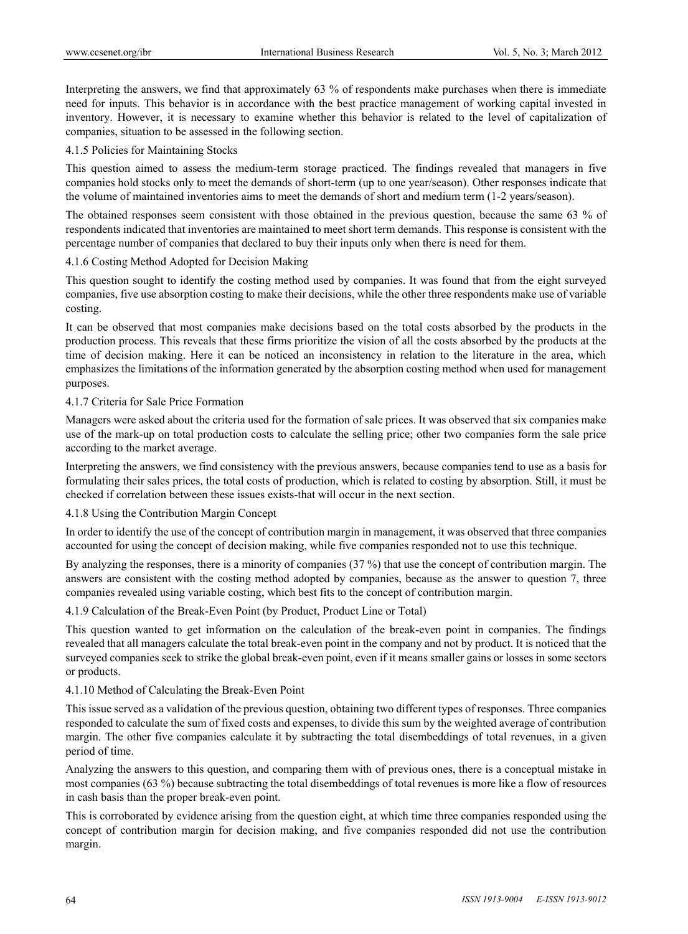Interpreting the answers, we find that approximately 63 % of respondents make purchases when there is immediate need for inputs. This behavior is in accordance with the best practice management of working capital invested in inventory. However, it is necessary to examine whether this behavior is related to the level of capitalization of companies, situation to be assessed in the following section.

#### 4.1.5 Policies for Maintaining Stocks

This question aimed to assess the medium-term storage practiced. The findings revealed that managers in five companies hold stocks only to meet the demands of short-term (up to one year/season). Other responses indicate that the volume of maintained inventories aims to meet the demands of short and medium term (1-2 years/season).

The obtained responses seem consistent with those obtained in the previous question, because the same 63 % of respondents indicated that inventories are maintained to meet short term demands. This response is consistent with the percentage number of companies that declared to buy their inputs only when there is need for them.

#### 4.1.6 Costing Method Adopted for Decision Making

This question sought to identify the costing method used by companies. It was found that from the eight surveyed companies, five use absorption costing to make their decisions, while the other three respondents make use of variable costing.

It can be observed that most companies make decisions based on the total costs absorbed by the products in the production process. This reveals that these firms prioritize the vision of all the costs absorbed by the products at the time of decision making. Here it can be noticed an inconsistency in relation to the literature in the area, which emphasizes the limitations of the information generated by the absorption costing method when used for management purposes.

#### 4.1.7 Criteria for Sale Price Formation

Managers were asked about the criteria used for the formation of sale prices. It was observed that six companies make use of the mark-up on total production costs to calculate the selling price; other two companies form the sale price according to the market average.

Interpreting the answers, we find consistency with the previous answers, because companies tend to use as a basis for formulating their sales prices, the total costs of production, which is related to costing by absorption. Still, it must be checked if correlation between these issues exists-that will occur in the next section.

## 4.1.8 Using the Contribution Margin Concept

In order to identify the use of the concept of contribution margin in management, it was observed that three companies accounted for using the concept of decision making, while five companies responded not to use this technique.

By analyzing the responses, there is a minority of companies (37 %) that use the concept of contribution margin. The answers are consistent with the costing method adopted by companies, because as the answer to question 7, three companies revealed using variable costing, which best fits to the concept of contribution margin.

## 4.1.9 Calculation of the Break-Even Point (by Product, Product Line or Total)

This question wanted to get information on the calculation of the break-even point in companies. The findings revealed that all managers calculate the total break-even point in the company and not by product. It is noticed that the surveyed companies seek to strike the global break-even point, even if it means smaller gains or losses in some sectors or products.

#### 4.1.10 Method of Calculating the Break-Even Point

This issue served as a validation of the previous question, obtaining two different types of responses. Three companies responded to calculate the sum of fixed costs and expenses, to divide this sum by the weighted average of contribution margin. The other five companies calculate it by subtracting the total disembeddings of total revenues, in a given period of time.

Analyzing the answers to this question, and comparing them with of previous ones, there is a conceptual mistake in most companies (63 %) because subtracting the total disembeddings of total revenues is more like a flow of resources in cash basis than the proper break-even point.

This is corroborated by evidence arising from the question eight, at which time three companies responded using the concept of contribution margin for decision making, and five companies responded did not use the contribution margin.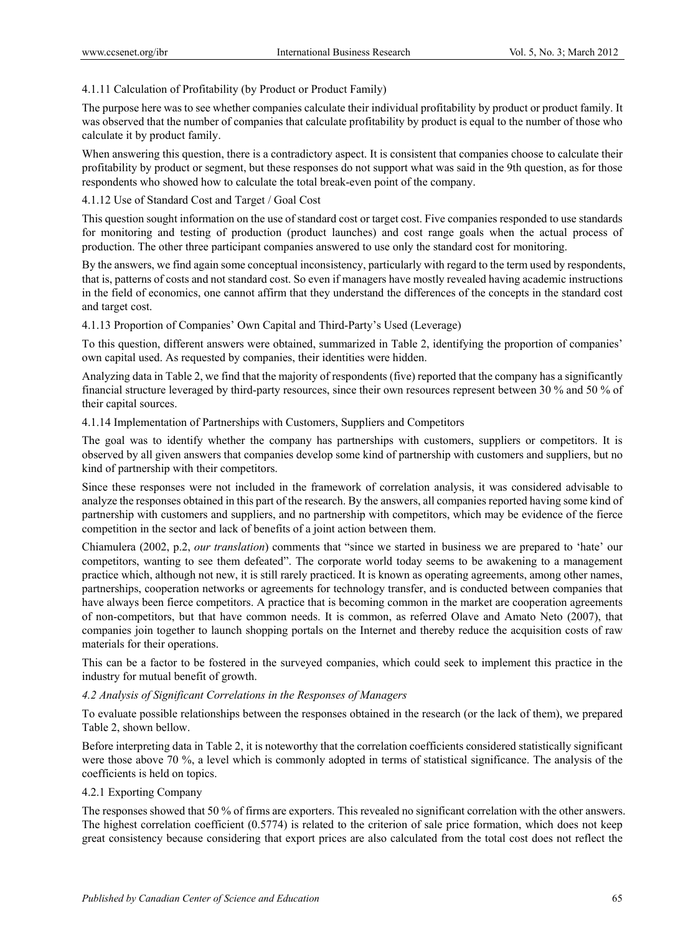## 4.1.11 Calculation of Profitability (by Product or Product Family)

The purpose here was to see whether companies calculate their individual profitability by product or product family. It was observed that the number of companies that calculate profitability by product is equal to the number of those who calculate it by product family.

When answering this question, there is a contradictory aspect. It is consistent that companies choose to calculate their profitability by product or segment, but these responses do not support what was said in the 9th question, as for those respondents who showed how to calculate the total break-even point of the company.

## 4.1.12 Use of Standard Cost and Target / Goal Cost

This question sought information on the use of standard cost or target cost. Five companies responded to use standards for monitoring and testing of production (product launches) and cost range goals when the actual process of production. The other three participant companies answered to use only the standard cost for monitoring.

By the answers, we find again some conceptual inconsistency, particularly with regard to the term used by respondents, that is, patterns of costs and not standard cost. So even if managers have mostly revealed having academic instructions in the field of economics, one cannot affirm that they understand the differences of the concepts in the standard cost and target cost.

4.1.13 Proportion of Companies' Own Capital and Third-Party's Used (Leverage)

To this question, different answers were obtained, summarized in Table 2, identifying the proportion of companies' own capital used. As requested by companies, their identities were hidden.

Analyzing data in Table 2, we find that the majority of respondents (five) reported that the company has a significantly financial structure leveraged by third-party resources, since their own resources represent between 30 % and 50 % of their capital sources.

4.1.14 Implementation of Partnerships with Customers, Suppliers and Competitors

The goal was to identify whether the company has partnerships with customers, suppliers or competitors. It is observed by all given answers that companies develop some kind of partnership with customers and suppliers, but no kind of partnership with their competitors.

Since these responses were not included in the framework of correlation analysis, it was considered advisable to analyze the responses obtained in this part of the research. By the answers, all companies reported having some kind of partnership with customers and suppliers, and no partnership with competitors, which may be evidence of the fierce competition in the sector and lack of benefits of a joint action between them.

Chiamulera (2002, p.2, *our translation*) comments that "since we started in business we are prepared to 'hate' our competitors, wanting to see them defeated". The corporate world today seems to be awakening to a management practice which, although not new, it is still rarely practiced. It is known as operating agreements, among other names, partnerships, cooperation networks or agreements for technology transfer, and is conducted between companies that have always been fierce competitors. A practice that is becoming common in the market are cooperation agreements of non-competitors, but that have common needs. It is common, as referred Olave and Amato Neto (2007), that companies join together to launch shopping portals on the Internet and thereby reduce the acquisition costs of raw materials for their operations.

This can be a factor to be fostered in the surveyed companies, which could seek to implement this practice in the industry for mutual benefit of growth.

## *4.2 Analysis of Significant Correlations in the Responses of Managers*

To evaluate possible relationships between the responses obtained in the research (or the lack of them), we prepared Table 2, shown bellow.

Before interpreting data in Table 2, it is noteworthy that the correlation coefficients considered statistically significant were those above 70 %, a level which is commonly adopted in terms of statistical significance. The analysis of the coefficients is held on topics.

## 4.2.1 Exporting Company

The responses showed that 50 % of firms are exporters. This revealed no significant correlation with the other answers. The highest correlation coefficient (0.5774) is related to the criterion of sale price formation, which does not keep great consistency because considering that export prices are also calculated from the total cost does not reflect the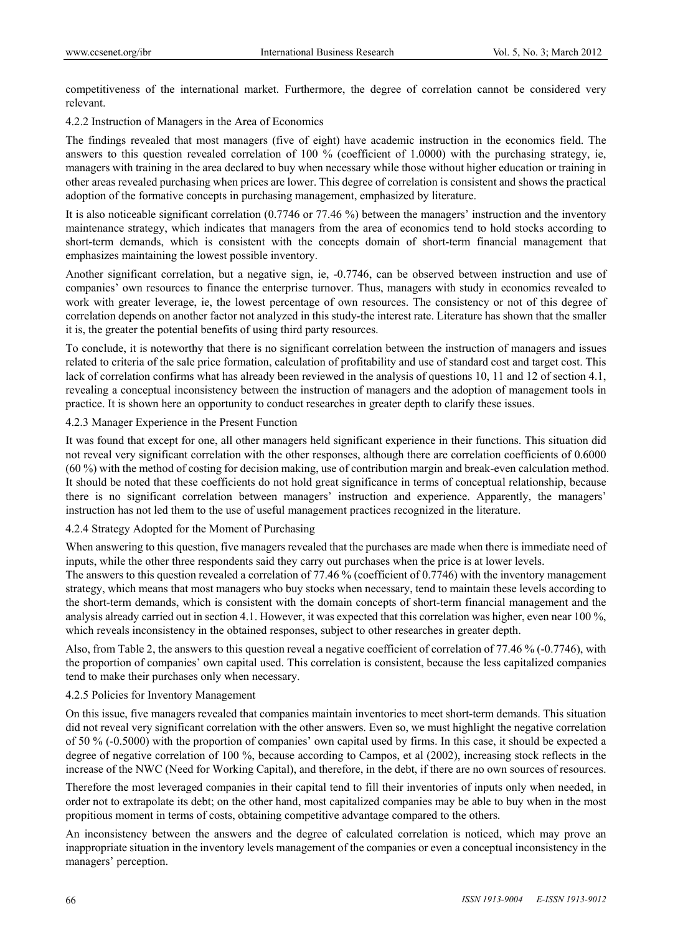competitiveness of the international market. Furthermore, the degree of correlation cannot be considered very relevant.

4.2.2 Instruction of Managers in the Area of Economics

The findings revealed that most managers (five of eight) have academic instruction in the economics field. The answers to this question revealed correlation of 100 % (coefficient of 1.0000) with the purchasing strategy, ie, managers with training in the area declared to buy when necessary while those without higher education or training in other areas revealed purchasing when prices are lower. This degree of correlation is consistent and shows the practical adoption of the formative concepts in purchasing management, emphasized by literature.

It is also noticeable significant correlation (0.7746 or 77.46 %) between the managers' instruction and the inventory maintenance strategy, which indicates that managers from the area of economics tend to hold stocks according to short-term demands, which is consistent with the concepts domain of short-term financial management that emphasizes maintaining the lowest possible inventory.

Another significant correlation, but a negative sign, ie, -0.7746, can be observed between instruction and use of companies' own resources to finance the enterprise turnover. Thus, managers with study in economics revealed to work with greater leverage, ie, the lowest percentage of own resources. The consistency or not of this degree of correlation depends on another factor not analyzed in this study-the interest rate. Literature has shown that the smaller it is, the greater the potential benefits of using third party resources.

To conclude, it is noteworthy that there is no significant correlation between the instruction of managers and issues related to criteria of the sale price formation, calculation of profitability and use of standard cost and target cost. This lack of correlation confirms what has already been reviewed in the analysis of questions 10, 11 and 12 of section 4.1, revealing a conceptual inconsistency between the instruction of managers and the adoption of management tools in practice. It is shown here an opportunity to conduct researches in greater depth to clarify these issues.

## 4.2.3 Manager Experience in the Present Function

It was found that except for one, all other managers held significant experience in their functions. This situation did not reveal very significant correlation with the other responses, although there are correlation coefficients of 0.6000 (60 %) with the method of costing for decision making, use of contribution margin and break-even calculation method. It should be noted that these coefficients do not hold great significance in terms of conceptual relationship, because there is no significant correlation between managers' instruction and experience. Apparently, the managers' instruction has not led them to the use of useful management practices recognized in the literature.

## 4.2.4 Strategy Adopted for the Moment of Purchasing

When answering to this question, five managers revealed that the purchases are made when there is immediate need of inputs, while the other three respondents said they carry out purchases when the price is at lower levels.

The answers to this question revealed a correlation of 77.46 % (coefficient of 0.7746) with the inventory management strategy, which means that most managers who buy stocks when necessary, tend to maintain these levels according to the short-term demands, which is consistent with the domain concepts of short-term financial management and the analysis already carried out in section 4.1. However, it was expected that this correlation was higher, even near 100 %, which reveals inconsistency in the obtained responses, subject to other researches in greater depth.

Also, from Table 2, the answers to this question reveal a negative coefficient of correlation of 77.46 % (-0.7746), with the proportion of companies' own capital used. This correlation is consistent, because the less capitalized companies tend to make their purchases only when necessary.

## 4.2.5 Policies for Inventory Management

On this issue, five managers revealed that companies maintain inventories to meet short-term demands. This situation did not reveal very significant correlation with the other answers. Even so, we must highlight the negative correlation of 50 % (-0.5000) with the proportion of companies' own capital used by firms. In this case, it should be expected a degree of negative correlation of 100 %, because according to Campos, et al (2002), increasing stock reflects in the increase of the NWC (Need for Working Capital), and therefore, in the debt, if there are no own sources of resources.

Therefore the most leveraged companies in their capital tend to fill their inventories of inputs only when needed, in order not to extrapolate its debt; on the other hand, most capitalized companies may be able to buy when in the most propitious moment in terms of costs, obtaining competitive advantage compared to the others.

An inconsistency between the answers and the degree of calculated correlation is noticed, which may prove an inappropriate situation in the inventory levels management of the companies or even a conceptual inconsistency in the managers' perception.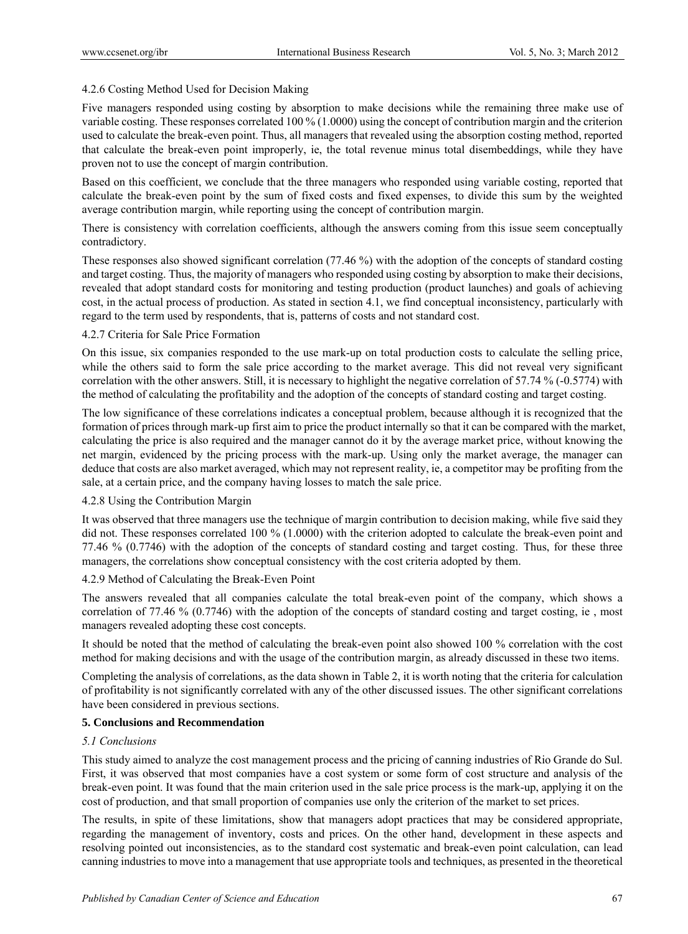## 4.2.6 Costing Method Used for Decision Making

Five managers responded using costing by absorption to make decisions while the remaining three make use of variable costing. These responses correlated 100 % (1.0000) using the concept of contribution margin and the criterion used to calculate the break-even point. Thus, all managers that revealed using the absorption costing method, reported that calculate the break-even point improperly, ie, the total revenue minus total disembeddings, while they have proven not to use the concept of margin contribution.

Based on this coefficient, we conclude that the three managers who responded using variable costing, reported that calculate the break-even point by the sum of fixed costs and fixed expenses, to divide this sum by the weighted average contribution margin, while reporting using the concept of contribution margin.

There is consistency with correlation coefficients, although the answers coming from this issue seem conceptually contradictory.

These responses also showed significant correlation (77.46 %) with the adoption of the concepts of standard costing and target costing. Thus, the majority of managers who responded using costing by absorption to make their decisions, revealed that adopt standard costs for monitoring and testing production (product launches) and goals of achieving cost, in the actual process of production. As stated in section 4.1, we find conceptual inconsistency, particularly with regard to the term used by respondents, that is, patterns of costs and not standard cost.

## 4.2.7 Criteria for Sale Price Formation

On this issue, six companies responded to the use mark-up on total production costs to calculate the selling price, while the others said to form the sale price according to the market average. This did not reveal very significant correlation with the other answers. Still, it is necessary to highlight the negative correlation of 57.74 % (-0.5774) with the method of calculating the profitability and the adoption of the concepts of standard costing and target costing.

The low significance of these correlations indicates a conceptual problem, because although it is recognized that the formation of prices through mark-up first aim to price the product internally so that it can be compared with the market, calculating the price is also required and the manager cannot do it by the average market price, without knowing the net margin, evidenced by the pricing process with the mark-up. Using only the market average, the manager can deduce that costs are also market averaged, which may not represent reality, ie, a competitor may be profiting from the sale, at a certain price, and the company having losses to match the sale price.

## 4.2.8 Using the Contribution Margin

It was observed that three managers use the technique of margin contribution to decision making, while five said they did not. These responses correlated 100 % (1.0000) with the criterion adopted to calculate the break-even point and 77.46 % (0.7746) with the adoption of the concepts of standard costing and target costing. Thus, for these three managers, the correlations show conceptual consistency with the cost criteria adopted by them.

## 4.2.9 Method of Calculating the Break-Even Point

The answers revealed that all companies calculate the total break-even point of the company, which shows a correlation of 77.46 % (0.7746) with the adoption of the concepts of standard costing and target costing, ie , most managers revealed adopting these cost concepts.

It should be noted that the method of calculating the break-even point also showed 100 % correlation with the cost method for making decisions and with the usage of the contribution margin, as already discussed in these two items.

Completing the analysis of correlations, as the data shown in Table 2, it is worth noting that the criteria for calculation of profitability is not significantly correlated with any of the other discussed issues. The other significant correlations have been considered in previous sections.

## **5. Conclusions and Recommendation**

## *5.1 Conclusions*

This study aimed to analyze the cost management process and the pricing of canning industries of Rio Grande do Sul. First, it was observed that most companies have a cost system or some form of cost structure and analysis of the break-even point. It was found that the main criterion used in the sale price process is the mark-up, applying it on the cost of production, and that small proportion of companies use only the criterion of the market to set prices.

The results, in spite of these limitations, show that managers adopt practices that may be considered appropriate, regarding the management of inventory, costs and prices. On the other hand, development in these aspects and resolving pointed out inconsistencies, as to the standard cost systematic and break-even point calculation, can lead canning industries to move into a management that use appropriate tools and techniques, as presented in the theoretical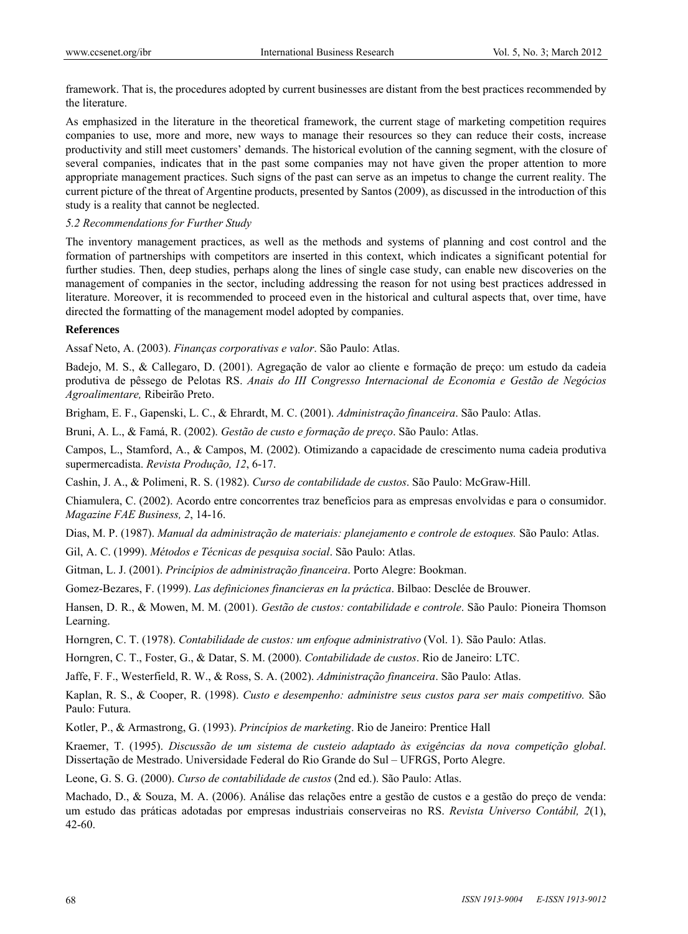framework. That is, the procedures adopted by current businesses are distant from the best practices recommended by the literature.

As emphasized in the literature in the theoretical framework, the current stage of marketing competition requires companies to use, more and more, new ways to manage their resources so they can reduce their costs, increase productivity and still meet customers' demands. The historical evolution of the canning segment, with the closure of several companies, indicates that in the past some companies may not have given the proper attention to more appropriate management practices. Such signs of the past can serve as an impetus to change the current reality. The current picture of the threat of Argentine products, presented by Santos (2009), as discussed in the introduction of this study is a reality that cannot be neglected.

*5.2 Recommendations for Further Study*

The inventory management practices, as well as the methods and systems of planning and cost control and the formation of partnerships with competitors are inserted in this context, which indicates a significant potential for further studies. Then, deep studies, perhaps along the lines of single case study, can enable new discoveries on the management of companies in the sector, including addressing the reason for not using best practices addressed in literature. Moreover, it is recommended to proceed even in the historical and cultural aspects that, over time, have directed the formatting of the management model adopted by companies.

#### **References**

Assaf Neto, A. (2003). *Finanças corporativas e valor*. São Paulo: Atlas.

Badejo, M. S., & Callegaro, D. (2001). Agregação de valor ao cliente e formação de preço: um estudo da cadeia produtiva de pêssego de Pelotas RS. *Anais do III Congresso Internacional de Economia e Gestão de Negócios Agroalimentare,* Ribeirão Preto.

Brigham, E. F., Gapenski, L. C., & Ehrardt, M. C. (2001). *Administração financeira*. São Paulo: Atlas.

Bruni, A. L., & Famá, R. (2002). *Gestão de custo e formação de preço*. São Paulo: Atlas.

Campos, L., Stamford, A., & Campos, M. (2002). Otimizando a capacidade de crescimento numa cadeia produtiva supermercadista. *Revista Produção, 12*, 6-17.

Cashin, J. A., & Polimeni, R. S. (1982). *Curso de contabilidade de custos*. São Paulo: McGraw-Hill.

Chiamulera, C. (2002). Acordo entre concorrentes traz benefícios para as empresas envolvidas e para o consumidor. *Magazine FAE Business, 2*, 14-16.

Dias, M. P. (1987). *Manual da administração de materiais: planejamento e controle de estoques*. São Paulo: Atlas.

Gil, A. C. (1999). *Métodos e Técnicas de pesquisa social*. São Paulo: Atlas.

Gitman, L. J. (2001). *Princípios de administração financeira*. Porto Alegre: Bookman.

Gomez-Bezares, F. (1999). *Las definiciones financieras en la práctica*. Bilbao: Desclée de Brouwer.

Hansen, D. R., & Mowen, M. M. (2001). *Gestão de custos: contabilidade e controle*. São Paulo: Pioneira Thomson Learning.

Horngren, C. T. (1978). *Contabilidade de custos: um enfoque administrativo* (Vol. 1). São Paulo: Atlas.

Horngren, C. T., Foster, G., & Datar, S. M. (2000). *Contabilidade de custos*. Rio de Janeiro: LTC.

Jaffe, F. F., Westerfield, R. W., & Ross, S. A. (2002). *Administração financeira*. São Paulo: Atlas.

Kaplan, R. S., & Cooper, R. (1998). *Custo e desempenho: administre seus custos para ser mais competitivo.* São Paulo: Futura.

Kotler, P., & Armastrong, G. (1993). *Princípios de marketing*. Rio de Janeiro: Prentice Hall

Kraemer, T. (1995). *Discussão de um sistema de custeio adaptado às exigências da nova competição global*. Dissertação de Mestrado. Universidade Federal do Rio Grande do Sul – UFRGS, Porto Alegre.

Leone, G. S. G. (2000). *Curso de contabilidade de custos* (2nd ed.). São Paulo: Atlas.

Machado, D., & Souza, M. A. (2006). Análise das relações entre a gestão de custos e a gestão do preço de venda: um estudo das práticas adotadas por empresas industriais conserveiras no RS. *Revista Universo Contábil, 2*(1), 42-60.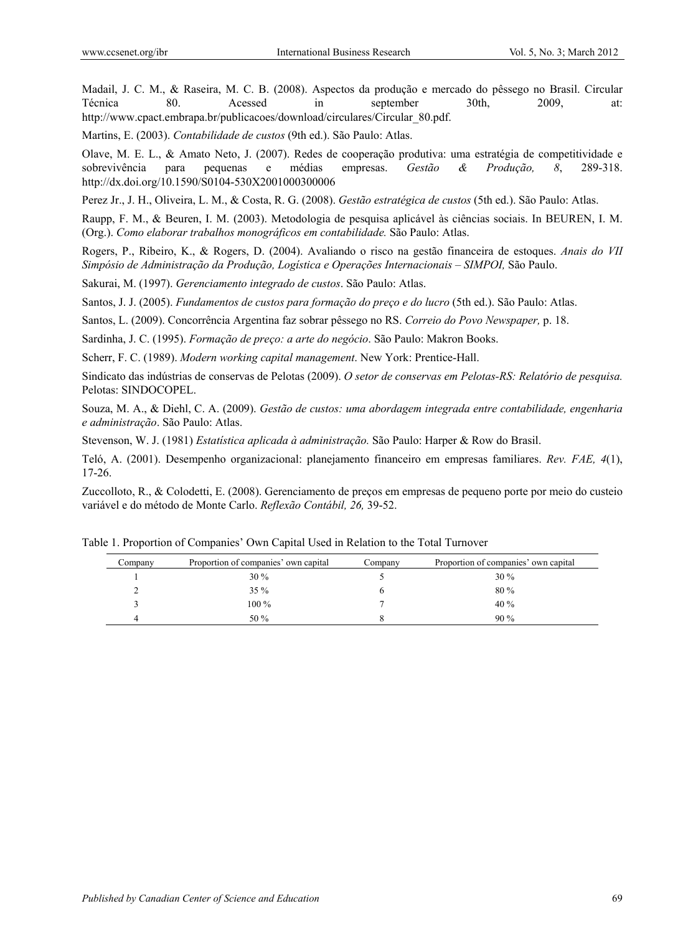Madail, J. C. M., & Raseira, M. C. B. (2008). Aspectos da produção e mercado do pêssego no Brasil. Circular Técnica 80. Acessed in september 30th, 2009, at: http://www.cpact.embrapa.br/publicacoes/download/circulares/Circular\_80.pdf.

Martins, E. (2003). *Contabilidade de custos* (9th ed.). São Paulo: Atlas.

Olave, M. E. L., & Amato Neto, J. (2007). Redes de cooperação produtiva: uma estratégia de competitividade e sobrevivência para pequenas e médias empresas. *Gestão & Produção, 8*, 289-318. http://dx.doi.org/10.1590/S0104-530X2001000300006

Perez Jr., J. H., Oliveira, L. M., & Costa, R. G. (2008). *Gestão estratégica de custos* (5th ed.). São Paulo: Atlas.

Raupp, F. M., & Beuren, I. M. (2003). Metodologia de pesquisa aplicável às ciências sociais. In BEUREN, I. M. (Org.). *Como elaborar trabalhos monográficos em contabilidade.* São Paulo: Atlas.

Rogers, P., Ribeiro, K., & Rogers, D. (2004). Avaliando o risco na gestão financeira de estoques. *Anais do VII Simpósio de Administração da Produção, Logística e Operações Internacionais – SIMPOI,* São Paulo.

Sakurai, M. (1997). *Gerenciamento integrado de custos*. São Paulo: Atlas.

Santos, J. J. (2005). *Fundamentos de custos para formação do preço e do lucro* (5th ed.). São Paulo: Atlas.

Santos, L. (2009). Concorrência Argentina faz sobrar pêssego no RS. *Correio do Povo Newspaper,* p. 18.

Sardinha, J. C. (1995). *Formação de preço: a arte do negócio*. São Paulo: Makron Books.

Scherr, F. C. (1989). *Modern working capital management*. New York: Prentice-Hall.

Sindicato das indústrias de conservas de Pelotas (2009). *O setor de conservas em Pelotas-RS: Relatório de pesquisa.*  Pelotas: SINDOCOPEL.

Souza, M. A., & Diehl, C. A. (2009). *Gestão de custos: uma abordagem integrada entre contabilidade, engenharia e administração*. São Paulo: Atlas.

Stevenson, W. J. (1981) *Estatística aplicada à administração.* São Paulo: Harper & Row do Brasil.

Teló, A. (2001). Desempenho organizacional: planejamento financeiro em empresas familiares. *Rev. FAE, 4*(1), 17-26.

Zuccolloto, R., & Colodetti, E. (2008). Gerenciamento de preços em empresas de pequeno porte por meio do custeio variável e do método de Monte Carlo. *Reflexão Contábil, 26,* 39-52.

| Company | Proportion of companies' own capital | Company | Proportion of companies' own capital |
|---------|--------------------------------------|---------|--------------------------------------|
|         | $30\%$                               |         | $30\%$                               |
|         | $35\%$                               |         | $80\%$                               |
|         | $100\%$                              |         | 40%                                  |
|         | $50\%$                               |         | 90%                                  |

Table 1. Proportion of Companies' Own Capital Used in Relation to the Total Turnover